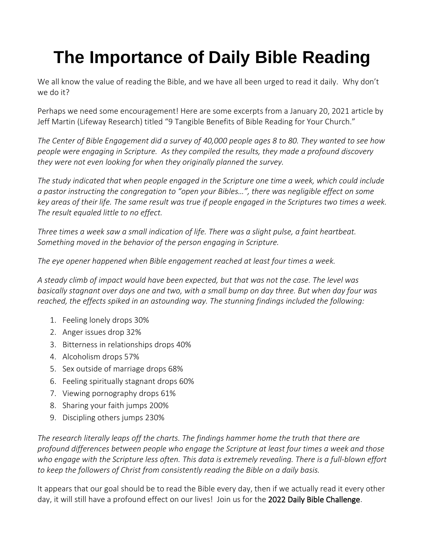## **The Importance of Daily Bible Reading**

We all know the value of reading the Bible, and we have all been urged to read it daily. Why don't we do it?

Perhaps we need some encouragement! Here are some excerpts from a January 20, 2021 article by Jeff Martin (Lifeway Research) titled "9 Tangible Benefits of Bible Reading for Your Church."

*The Center of Bible Engagement did a survey of 40,000 people ages 8 to 80. They wanted to see how people were engaging in Scripture. As they compiled the results, they made a profound discovery they were not even looking for when they originally planned the survey.*

*The study indicated that when people engaged in the Scripture one time a week, which could include a pastor instructing the congregation to "open your Bibles…", there was negligible effect on some key areas of their life. The same result was true if people engaged in the Scriptures two times a week. The result equaled little to no effect.*

*Three times a week saw a small indication of life. There was a slight pulse, a faint heartbeat. Something moved in the behavior of the person engaging in Scripture.*

*The eye opener happened when Bible engagement reached at least four times a week.*

*A steady climb of impact would have been expected, but that was not the case. The level was basically stagnant over days one and two, with a small bump on day three. But when day four was reached, the effects spiked in an astounding way. The stunning findings included the following:* 

- 1. Feeling lonely drops 30%
- 2. Anger issues drop 32%
- 3. Bitterness in relationships drops 40%
- 4. Alcoholism drops 57%
- 5. Sex outside of marriage drops 68%
- 6. Feeling spiritually stagnant drops 60%
- 7. Viewing pornography drops 61%
- 8. Sharing your faith jumps 200%
- 9. Discipling others jumps 230%

*The research literally leaps off the charts. The findings hammer home the truth that there are profound differences between people who engage the Scripture at least four times a week and those who engage with the Scripture less often. This data is extremely revealing. There is a full-blown effort to keep the followers of Christ from consistently reading the Bible on a daily basis.*

It appears that our goal should be to read the Bible every day, then if we actually read it every other day, it will still have a profound effect on our lives! Join us for the 2022 Daily Bible Challenge.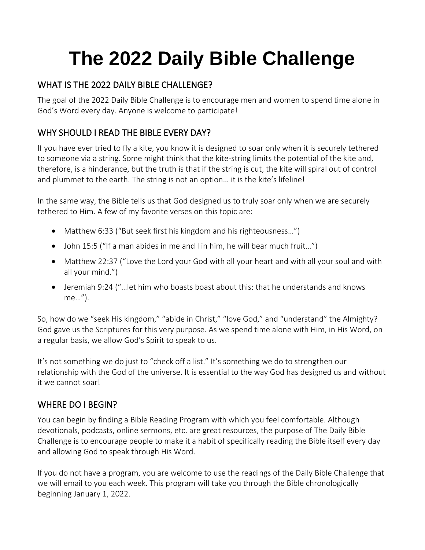# **The 2022 Daily Bible Challenge**

#### WHAT IS THE 2022 DAILY BIBLE CHALLENGE?

The goal of the 2022 Daily Bible Challenge is to encourage men and women to spend time alone in God's Word every day. Anyone is welcome to participate!

### WHY SHOULD I READ THE BIBLE EVERY DAY?

If you have ever tried to fly a kite, you know it is designed to soar only when it is securely tethered to someone via a string. Some might think that the kite-string limits the potential of the kite and, therefore, is a hinderance, but the truth is that if the string is cut, the kite will spiral out of control and plummet to the earth. The string is not an option… it is the kite's lifeline!

In the same way, the Bible tells us that God designed us to truly soar only when we are securely tethered to Him. A few of my favorite verses on this topic are:

- Matthew 6:33 ("But seek first his kingdom and his righteousness...")
- John 15:5 ("If a man abides in me and I in him, he will bear much fruit...")
- Matthew 22:37 ("Love the Lord your God with all your heart and with all your soul and with all your mind.")
- Jeremiah 9:24 ("…let him who boasts boast about this: that he understands and knows me…").

So, how do we "seek His kingdom," "abide in Christ," "love God," and "understand" the Almighty? God gave us the Scriptures for this very purpose. As we spend time alone with Him, in His Word, on a regular basis, we allow God's Spirit to speak to us.

It's not something we do just to "check off a list." It's something we do to strengthen our relationship with the God of the universe. It is essential to the way God has designed us and without it we cannot soar!

#### WHERE DO I BEGIN?

You can begin by finding a Bible Reading Program with which you feel comfortable. Although devotionals, podcasts, online sermons, etc. are great resources, the purpose of The Daily Bible Challenge is to encourage people to make it a habit of specifically reading the Bible itself every day and allowing God to speak through His Word.

If you do not have a program, you are welcome to use the readings of the Daily Bible Challenge that we will email to you each week. This program will take you through the Bible chronologically beginning January 1, 2022.